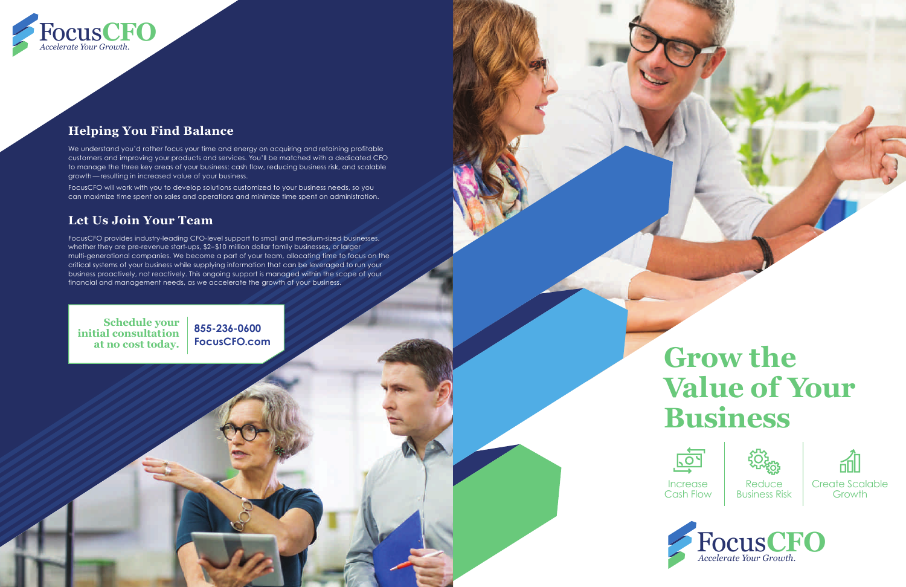# **Grow the Value of Your Business**







Business Risk



# **Helping You Find Balance**

We understand you'd rather focus your time and energy on acquiring and retaining profitable customers and improving your products and services. You'll be matched with a dedicated CFO to manage the three key areas of your business: cash flow, reducing business risk, and scalable growth — resulting in increased value of your business.

FocusCFO will work with you to develop solutions customized to your business needs, so you can maximize time spent on sales and operations and minimize time spent on administration.

# **Let Us Join Your Team**

FocusCFO provides industry-leading CFO-level support to small and medium-sized businesses, whether they are pre-revenue start-ups, \$2–\$10 million dollar family businesses, or larger multi-generational companies. We become a part of your team, allocating time to focus on the critical systems of your business while supplying information that can be leveraged to run your business proactively, not reactively. This ongoing support is managed within the scope of your financial and management needs, as we accelerate the growth of your business.

**Schedule your initial consultation at no cost today.**

**855-236-0600 FocusCFO.com**